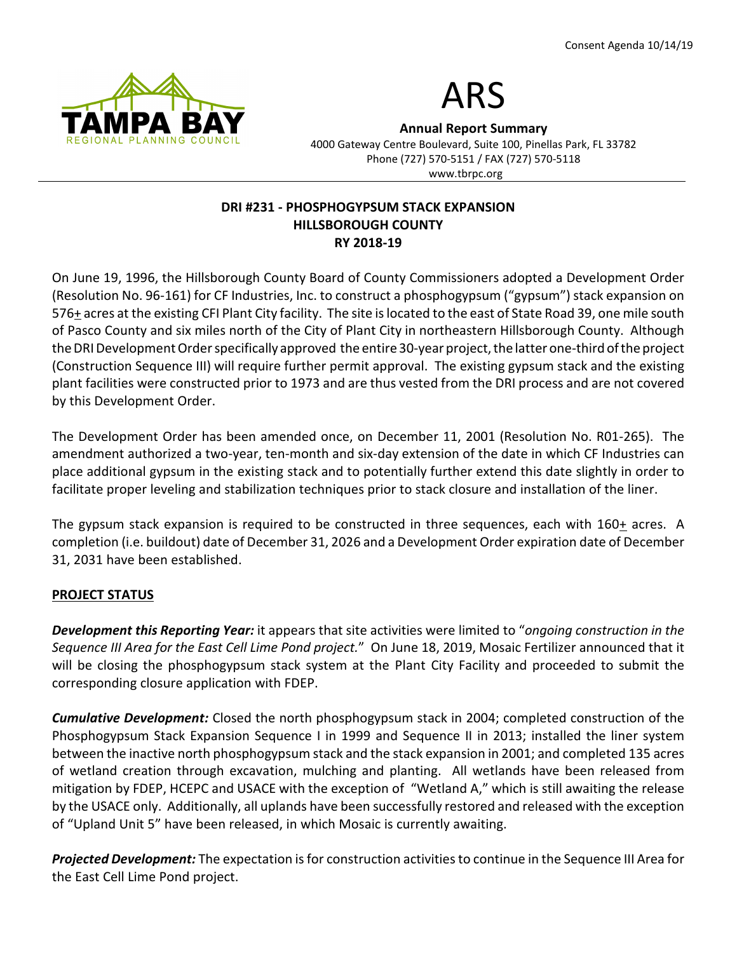



Annual Report Summary

4000 Gateway Centre Boulevard, Suite 100, Pinellas Park, FL 33782 Phone (727) 570-5151 / FAX (727) 570-5118 www.tbrpc.org

# DRI #231 - PHOSPHOGYPSUM STACK EXPANSION HILLSBOROUGH COUNTY RY 2018-19

On June 19, 1996, the Hillsborough County Board of County Commissioners adopted a Development Order (Resolution No. 96-161) for CF Industries, Inc. to construct a phosphogypsum ("gypsum") stack expansion on 576+ acres at the existing CFI Plant City facility. The site is located to the east of State Road 39, one mile south of Pasco County and six miles north of the City of Plant City in northeastern Hillsborough County. Although the DRI Development Order specifically approved the entire 30-year project, the latter one-third of the project (Construction Sequence III) will require further permit approval. The existing gypsum stack and the existing plant facilities were constructed prior to 1973 and are thus vested from the DRI process and are not covered by this Development Order.

The Development Order has been amended once, on December 11, 2001 (Resolution No. R01-265). The amendment authorized a two-year, ten-month and six-day extension of the date in which CF Industries can place additional gypsum in the existing stack and to potentially further extend this date slightly in order to facilitate proper leveling and stabilization techniques prior to stack closure and installation of the liner.

The gypsum stack expansion is required to be constructed in three sequences, each with  $160<sub>+</sub>$  acres. A completion (i.e. buildout) date of December 31, 2026 and a Development Order expiration date of December 31, 2031 have been established.

# PROJECT STATUS

Development this Reporting Year: it appears that site activities were limited to "ongoing construction in the Sequence III Area for the East Cell Lime Pond project." On June 18, 2019, Mosaic Fertilizer announced that it will be closing the phosphogypsum stack system at the Plant City Facility and proceeded to submit the corresponding closure application with FDEP.

**Cumulative Development:** Closed the north phosphogypsum stack in 2004; completed construction of the Phosphogypsum Stack Expansion Sequence I in 1999 and Sequence II in 2013; installed the liner system between the inactive north phosphogypsum stack and the stack expansion in 2001; and completed 135 acres of wetland creation through excavation, mulching and planting. All wetlands have been released from mitigation by FDEP, HCEPC and USACE with the exception of "Wetland A," which is still awaiting the release by the USACE only. Additionally, all uplands have been successfully restored and released with the exception of "Upland Unit 5" have been released, in which Mosaic is currently awaiting.

Projected Development: The expectation is for construction activities to continue in the Sequence III Area for the East Cell Lime Pond project.